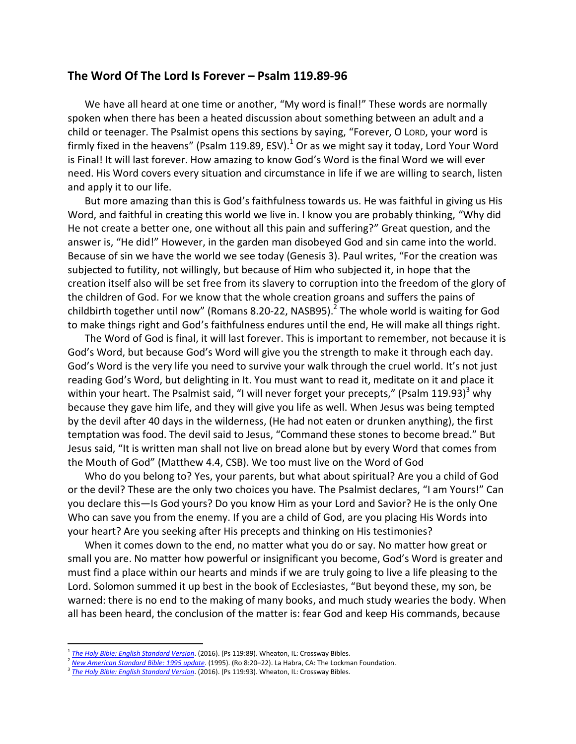## **The Word Of The Lord Is Forever – Psalm 119.89-96**

We have all heard at one time or another, "My word is final!" These words are normally spoken when there has been a heated discussion about something between an adult and a child or teenager. The Psalmist opens this sections by saying, "Forever, O LORD, your word is firmly fixed in the heavens" (Psalm 119.89, ESV).<sup>1</sup> Or as we might say it today, Lord Your Word is Final! It will last forever. How amazing to know God's Word is the final Word we will ever need. His Word covers every situation and circumstance in life if we are willing to search, listen and apply it to our life.

But more amazing than this is God's faithfulness towards us. He was faithful in giving us His Word, and faithful in creating this world we live in. I know you are probably thinking, "Why did He not create a better one, one without all this pain and suffering?" Great question, and the answer is, "He did!" However, in the garden man disobeyed God and sin came into the world. Because of sin we have the world we see today (Genesis 3). Paul writes, "For the creation was subjected to futility, not willingly, but because of Him who subjected it, in hope that the creation itself also will be set free from its slavery to corruption into the freedom of the glory of the children of God. For we know that the whole creation groans and suffers the pains of childbirth together until now" (Romans 8.20-22, NASB95).<sup>2</sup> The whole world is waiting for God to make things right and God's faithfulness endures until the end, He will make all things right.

The Word of God is final, it will last forever. This is important to remember, not because it is God's Word, but because God's Word will give you the strength to make it through each day. God's Word is the very life you need to survive your walk through the cruel world. It's not just reading God's Word, but delighting in It. You must want to read it, meditate on it and place it within your heart. The Psalmist said, "I will never forget your precepts," (Psalm 119.93) $3$  why because they gave him life, and they will give you life as well. When Jesus was being tempted by the devil after 40 days in the wilderness, (He had not eaten or drunken anything), the first temptation was food. The devil said to Jesus, "Command these stones to become bread." But Jesus said, "It is written man shall not live on bread alone but by every Word that comes from the Mouth of God" (Matthew 4.4, CSB). We too must live on the Word of God

Who do you belong to? Yes, your parents, but what about spiritual? Are you a child of God or the devil? These are the only two choices you have. The Psalmist declares, "I am Yours!" Can you declare this—Is God yours? Do you know Him as your Lord and Savior? He is the only One Who can save you from the enemy. If you are a child of God, are you placing His Words into your heart? Are you seeking after His precepts and thinking on His testimonies?

When it comes down to the end, no matter what you do or say. No matter how great or small you are. No matter how powerful or insignificant you become, God's Word is greater and must find a place within our hearts and minds if we are truly going to live a life pleasing to the Lord. Solomon summed it up best in the book of Ecclesiastes, "But beyond these, my son, be warned: there is no end to the making of many books, and much study wearies the body. When all has been heard, the conclusion of the matter is: fear God and keep His commands, because

 $\overline{a}$ 

<sup>1</sup> *[The Holy Bible: English Standard Version](https://ref.ly/logosres/esv?ref=BibleESV.Ps119.89&off=12&ctx=mouth.+%0aLamedh%0a+89%C2%A0+~Forever%2c+O+Lord%2c+you)*. (2016). (Ps 119:89). Wheaton, IL: Crossway Bibles.

<sup>2</sup> *[New American Standard Bible: 1995 update](https://ref.ly/logosres/nasb95?ref=BibleNASB95.Ro8.20&off=3&ctx=e+c%EF%BB%BFsons+of+God.%0a+20~+For+the+creation+a%EF%BB%BF)*. (1995). (Ro 8:20–22). La Habra, CA: The Lockman Foundation.

<sup>3</sup> *[The Holy Bible: English Standard Version](https://ref.ly/logosres/esv?ref=BibleESV.Ps119.93&off=5&ctx=y+affliction.+%0a+93%C2%A0+~I+will+never+forget+)*. (2016). (Ps 119:93). Wheaton, IL: Crossway Bibles.